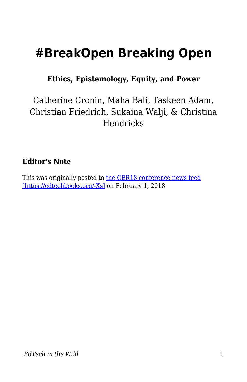# **#BreakOpen Breaking Open**

**Ethics, Epistemology, Equity, and Power**

#### Catherine Cronin, Maha Bali, Taskeen Adam, Christian Friedrich, Sukaina Walji, & Christina Hendricks

#### **Editor's Note**

This was originally posted to [the OER18 conference news feed](https://oer18.oerconf.org/news/breakopen-breaking-open-ethics-epistemology-equity-and-power-guest-post/) [\[https://edtechbooks.org/-Xs\]](https://oer18.oerconf.org/news/breakopen-breaking-open-ethics-epistemology-equity-and-power-guest-post/) on February 1, 2018.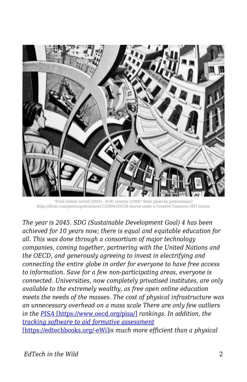

"Print Gallery solved (2003) – H.W. Lenstra (1949)" flickr photo by pedrosimoes7 https://flickr.com/photos/pedrosimoes7/25894329238 shared under a Creative Commons (BY) license

*The year is 2045. SDG (Sustainable Development Goal) 4 has been achieved for 10 years now; there is equal and equitable education for all. This was done through a consortium of major technology companies, coming together, partnering with the United Nations and the OECD, and generously agreeing to invest in electrifying and connecting the entire globe in order for everyone to have free access to information. Save for a few non-participating areas, everyone is connected. Universities, now completely privatised institutes, are only available to the extremely wealthy, as free open online education meets the needs of the masses. The cost of physical infrastructure was an unnecessary overhead on a mass scale There are only few outliers in the [PISA](https://www.oecd.org/pisa/)* [\[https://www.oecd.org/pisa/\]](https://www.oecd.org/pisa/) *rankings. In addition, the [tracking software to aid formative assessment](https://www.u-planner.com/en/university-student-dropout-detection-software)* [\[https://edtechbooks.org/-eWi\]](https://www.u-planner.com/en/university-student-dropout-detection-software)*is much more efficient than a physical*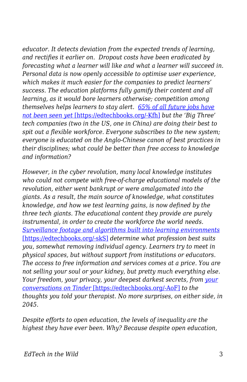*educator. It detects deviation from the expected trends of learning, and rectifies it earlier on. Dropout costs have been eradicated by forecasting what a learner will like and what a learner will succeed in. Personal data is now openly accessible to optimise user experience, which makes it much easier for the companies to predict learners' success. The education platforms fully gamify their content and all learning, as it would bore learners otherwise; competition among themselves helps learners to stay alert. [65% of all future jobs have](http://www.longviewoneducation.org/field-guide-jobs-dont-exist-yet/) [not been seen yet](http://www.longviewoneducation.org/field-guide-jobs-dont-exist-yet/)* [\[https://edtechbooks.org/-Kfh\]](http://www.longviewoneducation.org/field-guide-jobs-dont-exist-yet/) *but the 'Big Three' tech companies (two in the US, one in China) are doing their best to spit out a flexible workforce. Everyone subscribes to the new system; everyone is educated on the Anglo-Chinese canon of best practices in their disciplines; what could be better than free access to knowledge and information?*

*However, in the cyber revolution, many local knowledge institutes who could not compete with free-of-charge educational models of the revolution, either went bankrupt or were amalgamated into the giants. As a result, the main source of knowledge, what constitutes knowledge, and how we test learning gains, is now defined by the three tech giants. The educational content they provide are purely instrumental, in order to create the workforce the world needs. [Surveillance footage and algorithms built into learning environments](https://www.newyorker.com/magazine/2016/03/07/altschools-disrupted-education)* [\[https://edtechbooks.org/-skS\]](https://www.newyorker.com/magazine/2016/03/07/altschools-disrupted-education) *determine what profession best suits you, somewhat removing individual agency. Learners try to meet in physical spaces, but without support from institutions or educators. The access to free information and services comes at a price. You are not selling your soul or your kidney, but pretty much everything else. Your freedom, your privacy, your deepest darkest secrets, from [your](https://www.theguardian.com/technology/2017/sep/26/tinder-personal-data-dating-app-messages-hacked-sold) [conversations on Tinder](https://www.theguardian.com/technology/2017/sep/26/tinder-personal-data-dating-app-messages-hacked-sold)* [\[https://edtechbooks.org/-AoF\]](https://www.theguardian.com/technology/2017/sep/26/tinder-personal-data-dating-app-messages-hacked-sold) *to the thoughts you told your therapist. No more surprises, on either side, in 2045.*

*Despite efforts to open education, the levels of inequality are the highest they have ever been. Why? Because despite open education,*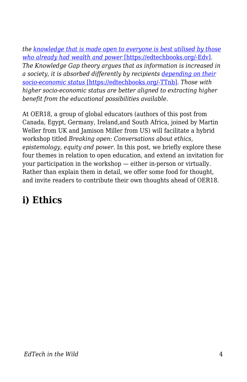*the [knowledge that is made open to everyone is best utilised by those](https://clalliance.org/publications/good-intentions-real-outcomes-equity-design-learning-technologies/) [who already had wealth and power](https://clalliance.org/publications/good-intentions-real-outcomes-equity-design-learning-technologies/)* [\[https://edtechbooks.org/-Edv\]](https://clalliance.org/publications/good-intentions-real-outcomes-equity-design-learning-technologies/)*. The Knowledge Gap theory argues that as information is increased in a society, it is absorbed differently by recipients [depending on their](http://journals.sagepub.com/doi/abs/10.1177/009365027500200101) [socio-economic status](http://journals.sagepub.com/doi/abs/10.1177/009365027500200101)* [\[https://edtechbooks.org/-TTnb\]](http://journals.sagepub.com/doi/abs/10.1177/009365027500200101)*. Those with higher socio-economic status are better aligned to extracting higher benefit from the educational possibilities available.*

At OER18, a group of global educators (authors of this post from Canada, Egypt, Germany, Ireland,and South Africa, joined by Martin Weller from UK and Jamison Miller from US) will facilitate a hybrid workshop titled *Breaking open: Conversations about ethics, epistemology, equity and power.* In this post, we briefly explore these four themes in relation to open education, and extend an invitation for your participation in the workshop — either in-person or virtually. Rather than explain them in detail, we offer some food for thought, and invite readers to contribute their own thoughts ahead of OER18.

### **i) Ethics**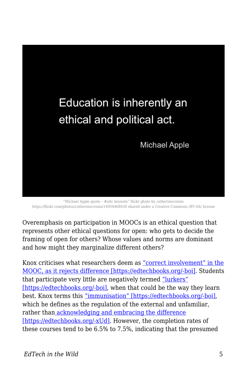

"Michael Apple quote – #altc keynote" flickr photo by catherinecronin https://flickr.com/photos/catherinecronin/14950468430 shared under a Creative Commons (BY-SA) license

Overemphasis on participation in MOOCs is an ethical question that represents other ethical questions for open: who gets to decide the framing of open for others? Whose values and norms are dominant and how might they marginalize different others?

Knox criticises what researchers deem as ["correct involvement" in the](https://www.routledge.com/Posthumanism-and-the-Massive-Open-Online-Course-Contaminating-the-Subject/Knox/p/book/9781138940826) [MOOC, as it rejects difference \[https://edtechbooks.org/-boi\]](https://www.routledge.com/Posthumanism-and-the-Massive-Open-Online-Course-Contaminating-the-Subject/Knox/p/book/9781138940826). Students that participate very little are negatively termed ["lurkers"](https://www.routledge.com/Posthumanism-and-the-Massive-Open-Online-Course-Contaminating-the-Subject/Knox/p/book/9781138940826) [\[https://edtechbooks.org/-boi\]](https://www.routledge.com/Posthumanism-and-the-Massive-Open-Online-Course-Contaminating-the-Subject/Knox/p/book/9781138940826), when that could be the way they learn best. Knox terms this ["immunisation" \[https://edtechbooks.org/-boi\],](https://www.routledge.com/Posthumanism-and-the-Massive-Open-Online-Course-Contaminating-the-Subject/Knox/p/book/9781138940826) which he defines as the regulation of the external and unfamiliar, rather tha[n acknowledging and embracing the difference](https://books.google.co.uk/books/about/The_Location_of_Culture.html?id=p7quDTSmYRYC&redir_esc=y) [\[https://edtechbooks.org/-xUd\].](https://books.google.co.uk/books/about/The_Location_of_Culture.html?id=p7quDTSmYRYC&redir_esc=y) However, the completion rates of these courses tend to be 6.5% to 7.5%, indicating that the presumed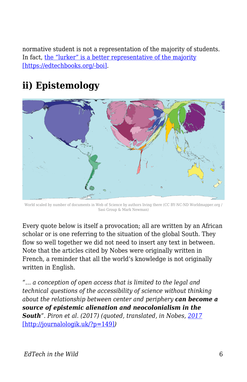normative student is not a representation of the majority of students. In fact, [the "lurker" is a better representative of the majority](https://www.routledge.com/Posthumanism-and-the-Massive-Open-Online-Course-Contaminating-the-Subject/Knox/p/book/9781138940826) [\[https://edtechbooks.org/-boi\]](https://www.routledge.com/Posthumanism-and-the-Massive-Open-Online-Course-Contaminating-the-Subject/Knox/p/book/9781138940826).

## **ii) Epistemology**



World scaled by number of documents in Web of Science by authors living there (CC BY-NC-ND Worldmapper.org / Sasi Group & Mark Newman)

Every quote below is itself a provocation; all are written by an African scholar or is one referring to the situation of the global South. They flow so well together we did not need to insert any text in between. Note that the articles cited by Nobes were originally written in French, a reminder that all the world's knowledge is not originally written in English.

*"… a conception of open access that is limited to the legal and technical questions of the accessibility of science without thinking about the relationship between center and periphery can become a source of epistemic alienation and neocolonialism in the South". Piron et al. (2017) (quoted, translated, in Nobes, [2017](http://journalologik.uk/?p=149)* [\[http://journalologik.uk/?p=149\]](http://journalologik.uk/?p=149)*)*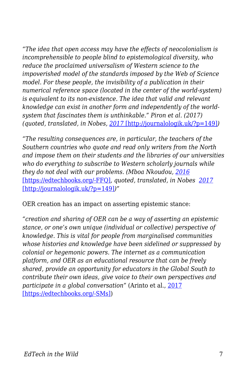*"The idea that open access may have the effects of neocolonialism is incomprehensible to people blind to epistemological diversity, who reduce the proclaimed universalism of Western science to the impoverished model of the standards imposed by the Web of Science model. For these people, the invisibility of a publication in their numerical reference space (located in the center of the world-system) is equivalent to its non-existence. The idea that valid and relevant knowledge can exist in another form and independently of the worldsystem that fascinates them is unthinkable." Piron et al. (2017) (quoted, translated, in Nobes, [2017](http://journalologik.uk/?p=149)* [\[http://journalologik.uk/?p=149\]](http://journalologik.uk/?p=149)*)*

*"The resulting consequences are, in particular, the teachers of the Southern countries who quote and read only writers from the North and impose them on their students and the libraries of our universities who do everything to subscribe to Western scholarly journals while they do not deal with our problems. (Mboa Nkoudou, [2016](https://translate.googleusercontent.com/translate_c?depth=1&hl=en&rurl=translate.google.com&sl=fr&sp=nmt4&tl=en&u=http://www.projetsoha.org/%3Fp%3D1357&usg=ALkJrhgZRAyWSzoYVldmYx1l5jzNYNAxtg)* [\[https://edtechbooks.org/-FFQ\]](https://translate.googleusercontent.com/translate_c?depth=1&hl=en&rurl=translate.google.com&sl=fr&sp=nmt4&tl=en&u=http://www.projetsoha.org/%3Fp%3D1357&usg=ALkJrhgZRAyWSzoYVldmYx1l5jzNYNAxtg)*, quoted, translated, in Nobes [2017](http://journalologik.uk/?p=149)* [\[http://journalologik.uk/?p=149\]](http://journalologik.uk/?p=149)*)"*

OER creation has an impact on asserting epistemic stance:

*"creation and sharing of OER can be a way of asserting an epistemic stance, or one's own unique (individual or collective) perspective of knowledge. This is vital for people from marginalised communities whose histories and knowledge have been sidelined or suppressed by colonial or hegemonic powers. The internet as a communication platform, and OER as an educational resource that can be freely shared, provide an opportunity for educators in the Global South to contribute their own ideas, give voice to their own perspectives and participate in a global conversation"* (Arinto et al., [2017](https://zenodo.org/record/1043830#.WnD4dILLf6B) [\[https://edtechbooks.org/-SMs\]](https://zenodo.org/record/1043830#.WnD4dILLf6B))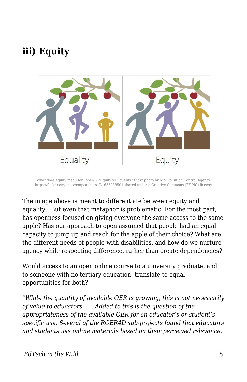#### **iii) Equity**



What does equity mean for "open"? "Equity vs Equality" flickr photo by MN Pollution Control Agency https://flickr.com/photos/mpcaphotos/31655988501 shared under a Creative Commons (BY-NC) license

The image above is meant to differentiate between equity and equality…But even that metaphor is problematic. For the most part, has openness focused on giving everyone the same access to the same apple? Has our approach to open assumed that people had an equal capacity to jump up and reach for the apple of their choice? What are the different needs of people with disabilities, and how do we nurture agency while respecting difference, rather than create dependencies?

Would access to an open online course to a university graduate, and to someone with no tertiary education, translate to equal opportunities for both?

*"While the quantity of available OER is growing, this is not necessarily of value to educators … . Added to this is the question of the appropriateness of the available OER for an educator's or student's specific use. Several of the ROER4D sub-projects found that educators and students use online materials based on their perceived relevance,*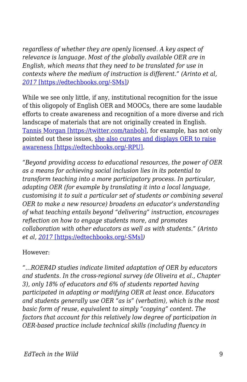*regardless of whether they are openly licensed. A key aspect of relevance is language. Most of the globally available OER are in English, which means that they need to be translated for use in contexts where the medium of instruction is different." (Arinto et al, [2017](https://zenodo.org/record/1043830#.WnD4dILLf6B)* [\[https://edtechbooks.org/-SMs\]](https://zenodo.org/record/1043830#.WnD4dILLf6B)*)*

While we see only little, if any, institutional recognition for the issue of this oligopoly of English OER and MOOCs, there are some laudable efforts to create awareness and recognition of a more diverse and rich landscape of materials that are not originally created in English. [Tannis Morgan \[https://twitter.com/tanbob\]](https://twitter.com/tanbob), for example, has not only pointed out these issues, [she also curates and displays OER to raise](https://oloer.opened.ca/background/) [awareness \[https://edtechbooks.org/-RPU\]](https://oloer.opened.ca/background/).

*"Beyond providing access to educational resources, the power of OER as a means for achieving social inclusion lies in its potential to transform teaching into a more participatory process. In particular, adapting OER (for example by translating it into a local language, customising it to suit a particular set of students or combining several OER to make a new resource) broadens an educator's understanding of what teaching entails beyond "delivering" instruction, encourages reflection on how to engage students more, and promotes collaboration with other educators as well as with students." (Arinto et al, [2017](https://zenodo.org/record/1043830#.WnD4dILLf6B)* [\[https://edtechbooks.org/-SMs\]](https://zenodo.org/record/1043830#.WnD4dILLf6B)*)*

However:

*"…ROER4D studies indicate limited adaptation of OER by educators and students. In the cross-regional survey (de Oliveira et al., Chapter 3), only 18% of educators and 6% of students reported having participated in adapting or modifying OER at least once. Educators and students generally use OER "as is" (verbatim), which is the most basic form of reuse, equivalent to simply "copying" content. The factors that account for this relatively low degree of participation in OER-based practice include technical skills (including fluency in*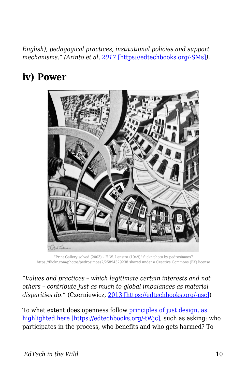*English), pedagogical practices, institutional policies and support mechanisms." (Arinto et al, [2017](https://zenodo.org/record/1043830#.WnD4dILLf6B)* [\[https://edtechbooks.org/-SMs\]](https://zenodo.org/record/1043830#.WnD4dILLf6B)*).*

### **iv) Power**



"Print Gallery solved (2003) – H.W. Lenstra (1949)" flickr photo by pedrosimoes7 https://flickr.com/photos/pedrosimoes7/25894329238 shared under a Creative Commons (BY) license

*"Values and practices – which legitimate certain interests and not others – contribute just as much to global imbalances as material disparities do."* (Czerniewicz, [2013 \[https://edtechbooks.org/-nsc\]\)](http://blogs.lse.ac.uk/impactofsocialsciences/2013/04/29/redrawing-the-map-from-access-to-participation/)

To what extent does openness follow [principles of just design, as](https://static1.squarespace.com/static/56a3ad187086d771d66d920d/t/574f1c96cf80a12ba2bb5818/1464805120051/DESIGN+JUSTICE+ZINE_ISSUE1.pdf) [highlighted here \[https://edtechbooks.org/-tWjc\],](https://static1.squarespace.com/static/56a3ad187086d771d66d920d/t/574f1c96cf80a12ba2bb5818/1464805120051/DESIGN+JUSTICE+ZINE_ISSUE1.pdf) such as asking: who participates in the process, who benefits and who gets harmed? To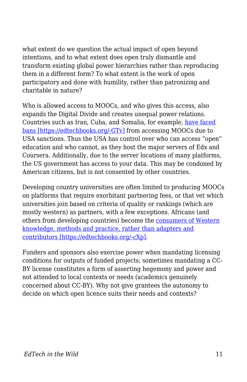what extent do we question the actual impact of open beyond intentions, and to what extent does open truly dismantle and transform existing global power hierarchies rather than reproducing them in a different form? To what extent is the work of open participatory and done with humility, rather than patronizing and charitable in nature?

Who is allowed access to MOOCs, and who gives this access, also expands the Digital Divide and creates unequal power relations. Countries such as Iran, Cuba, and Somalia, for example, [have faced](https://theconversation.com/online-learning-pioneer-slams-ban-on-iranian-cuban-sudanese-students-24581) [bans \[https://edtechbooks.org/-GTv\]](https://theconversation.com/online-learning-pioneer-slams-ban-on-iranian-cuban-sudanese-students-24581) from accessing MOOCs due to USA sanctions. Thus the USA has control over who can access "open" education and who cannot, as they host the major servers of Edx and Coursera. Additionally, due to the server locations of many platforms, the US government has access to your data. This may be condoned by American citizens, but is not consented by other countries.

Developing country universities are often limited to producing MOOCs on platforms that require exorbitant partnering fees, or that vet which universities join based on criteria of quality or rankings (which are mostly western) as partners, with a few exceptions. Africans (and others from developing countries) become the [consumers of Western](https://open.uct.ac.za/bitstream/handle/11427/19562/2._Developing_world_MOOCs.pdf?sequence=1) [knowledge, methods and practice, rather than adapters and](https://open.uct.ac.za/bitstream/handle/11427/19562/2._Developing_world_MOOCs.pdf?sequence=1) [contributors \[https://edtechbooks.org/-cXp\]](https://open.uct.ac.za/bitstream/handle/11427/19562/2._Developing_world_MOOCs.pdf?sequence=1).

Funders and sponsors also exercise power when mandating licensing conditions for outputs of funded projects; sometimes mandating a CC-BY license constitutes a form of asserting hegemony and power and not attended to local contexts or needs (academics genuinely concerned about CC-BY). Why not give grantees the autonomy to decide on which open licence suits their needs and contexts?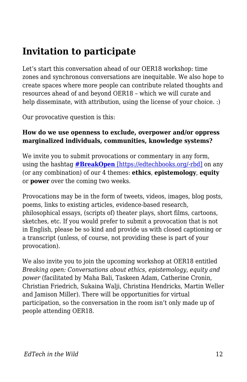### **Invitation to participate**

Let's start this conversation ahead of our OER18 workshop: time zones and synchronous conversations are inequitable. We also hope to create spaces where more people can contribute related thoughts and resources ahead of and beyond OER18 – which we will curate and help disseminate, with attribution, using the license of your choice. :)

Our provocative question is this:

#### **How do we use openness to exclude, overpower and/or oppress marginalized individuals, communities, knowledge systems?**

We invite you to submit provocations or commentary in any form, using the hashtag **[#BreakOpen](https://twitter.com/search?f=tweets&q=%23breakopen&src=typd)** [\[https://edtechbooks.org/-rbd\]](https://twitter.com/search?f=tweets&q=%23breakopen&src=typd) on any (or any combination) of our 4 themes: **ethics**, **epistemology**, **equity** or **power** over the coming two weeks.

Provocations may be in the form of tweets, videos, images, blog posts, poems, links to existing articles, evidence-based research, philosophical essays, (scripts of) theater plays, short films, cartoons, sketches, etc. If you would prefer to submit a provocation that is not in English, please be so kind and provide us with closed captioning or a transcript (unless, of course, not providing these is part of your provocation).

We also invite you to join the upcoming workshop at OER18 entitled *Breaking open: Conversations about ethics, epistemology, equity and power* (facilitated by Maha Bali, Taskeen Adam, Catherine Cronin, Christian Friedrich, Sukaina Walji, Christina Hendricks, Martin Weller and Jamison Miller)*.* There will be opportunities for virtual participation, so the conversation in the room isn't only made up of people attending OER18.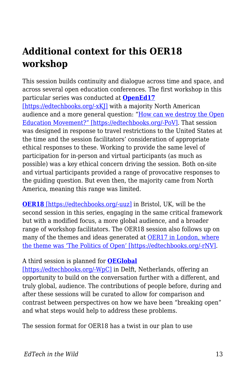### **Additional context for this OER18 workshop**

This session builds continuity and dialogue across time and space, and across several open education conferences. The first workshop in this particular series was conducted at **[OpenEd17](https://openeducation2017.sched.com/event/BXfg/how-can-we-destroy-the-open-education-movement-conversations-about-ethics)** [https://edtechbooks.org/-xKI] with a majority North American audience and a more general question: "[How can we destroy the Open](https://blogs.ubc.ca/openeducationethics/) [Education Movement?" \[https://edtechbooks.org/-PoV\]](https://blogs.ubc.ca/openeducationethics/). That session was designed in response to travel restrictions to the United States at the time and the session facilitators' consideration of appropriate ethical responses to these. Working to provide the same level of participation for in-person and virtual participants (as much as possible) was a key ethical concern driving the session. Both on-site and virtual participants provided a range of provocative responses to the guiding question. But even then, the majority came from North America, meaning this range was limited.

**[OER18](https://oer18.oerconf.org/#gref)** [\[https://edtechbooks.org/-uuz\]](https://oer18.oerconf.org/#gref) in Bristol, UK, will be the second session in this series, engaging in the same critical framework but with a modified focus, a more global audience, and a broader range of workshop facilitators. The OER18 session also follows up on many of the themes and ideas generated at [OER17 in London, where](https://oer17.oerconf.org/news/oer17-blog-posts-roundup/#gref) [the theme was 'The Politics of Open' \[https://edtechbooks.org/-rNV\]](https://oer17.oerconf.org/news/oer17-blog-posts-roundup/#gref).

#### A third session is planned for **[OEGlobal](https://conference.oeconsortium.org/2018/)**

[\[https://edtechbooks.org/-WpC\]](https://conference.oeconsortium.org/2018/) in Delft, Netherlands, offering an opportunity to build on the conversation further with a different, and truly global, audience. The contributions of people before, during and after these sessions will be curated to allow for comparison and contrast between perspectives on how we have been "breaking open" and what steps would help to address these problems.

The session format for OER18 has a twist in our plan to use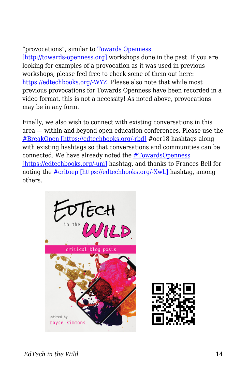#### "provocations", similar to [Towards Openness](http://towards-openness.org)

[\[http://towards-openness.org\]](http://towards-openness.org) workshops done in the past. If you are looking for examples of a provocation as it was used in previous workshops, please feel free to check some of them out here: [https://edtechbooks.org/-WYZ](http://towards-openness.org/resources/) Please also note that while most previous provocations for Towards Openness have been recorded in a video format, this is not a necessity! As noted above, provocations may be in any form.

Finally, we also wish to connect with existing conversations in this area — within and beyond open education conferences. Please use the [#BreakOpen \[https://edtechbooks.org/-rbd\]](https://twitter.com/search?f=tweets&q=%23breakopen&src=typd) #oer18 hashtags along with existing hashtags so that conversations and communities can be connected. We have already noted the [#TowardsOpenness](https://twitter.com/search?f=tweets&q=%23towardsopenness&src=typd) [\[https://edtechbooks.org/-uni\]](https://twitter.com/search?f=tweets&q=%23towardsopenness&src=typd) hashtag, and thanks to Frances Bell for noting the [#critoep \[https://edtechbooks.org/-XwL\]](https://twitter.com/search?f=tweets&vertical=default&q=%23critoep&src=typd) hashtag, among others.